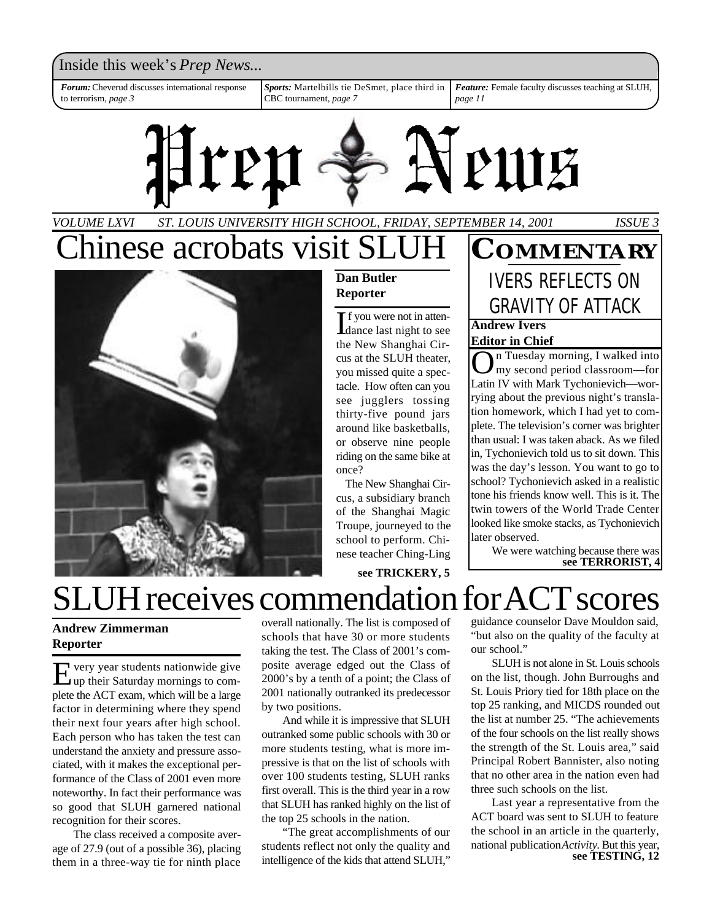Inside this week's *Prep News*...

*Forum:*Cheverud discusses international response to terrorism, *page 3*

*Sports:* Martelbills tie DeSmet, place third in CBC tournament, *page 7*

*Feature:* Female faculty discusses teaching at SLUH, *page 11*



### *ST. LOUIS UNIVERSITY HIGH SCHOOL, FRIDAY, SEPTEMBER 14, 2001 VOLUME LXVI ISSUE 3* Chinese acrobats visit SLI



### **Dan Butler Reporter**

If you were not in atten-<br>dance last night to see dance last night to see the New Shanghai Circus at the SLUH theater, you missed quite a spectacle. How often can you see jugglers tossing thirty-five pound jars around like basketballs, or observe nine people riding on the same bike at once?

The New Shanghai Circus, a subsidiary branch of the Shanghai Magic Troupe, journeyed to the school to perform. Chinese teacher Ching-Ling

**see TRICKERY, 5**

### **Andrew Ivers Editor in Chief COMMENTARY** IVERS REFLECTS ON GRAVITY OF ATTACK

**O**n Tuesday morning, I walked into<br>
Latin IV with Mark Tychonievich—worn Tuesday morning, I walked into my second period classroom—for rying about the previous night's translation homework, which I had yet to complete. The television's corner was brighter than usual: I was taken aback. As we filed in, Tychonievich told us to sit down. This was the day's lesson. You want to go to school? Tychonievich asked in a realistic tone his friends know well. This is it. The twin towers of the World Trade Center looked like smoke stacks, as Tychonievich later observed.

We were watching because there was **see TERRORIST, 4**

SLUH receives commendation for ACT scores

**Andrew Zimmerman Reporter**

E very year students nationwide give<br>
up their Saturday mornings to comvery year students nationwide give plete the ACT exam, which will be a large factor in determining where they spend their next four years after high school. Each person who has taken the test can understand the anxiety and pressure associated, with it makes the exceptional performance of the Class of 2001 even more noteworthy. In fact their performance was so good that SLUH garnered national recognition for their scores.

The class received a composite average of 27.9 (out of a possible 36), placing them in a three-way tie for ninth place

overall nationally. The list is composed of schools that have 30 or more students taking the test. The Class of 2001's composite average edged out the Class of 2000's by a tenth of a point; the Class of 2001 nationally outranked its predecessor by two positions.

And while it is impressive that SLUH outranked some public schools with 30 or more students testing, what is more impressive is that on the list of schools with over 100 students testing, SLUH ranks first overall. This is the third year in a row that SLUH has ranked highly on the list of the top 25 schools in the nation.

"The great accomplishments of our students reflect not only the quality and intelligence of the kids that attend SLUH,"

guidance counselor Dave Mouldon said, "but also on the quality of the faculty at our school."

SLUH is not alone in St. Louis schools on the list, though. John Burroughs and St. Louis Priory tied for 18th place on the top 25 ranking, and MICDS rounded out the list at number 25. "The achievements of the four schools on the list really shows the strength of the St. Louis area," said Principal Robert Bannister, also noting that no other area in the nation even had three such schools on the list.

Last year a representative from the ACT board was sent to SLUH to feature the school in an article in the quarterly, national publication *Activity*. But this year, **see TESTING, 12**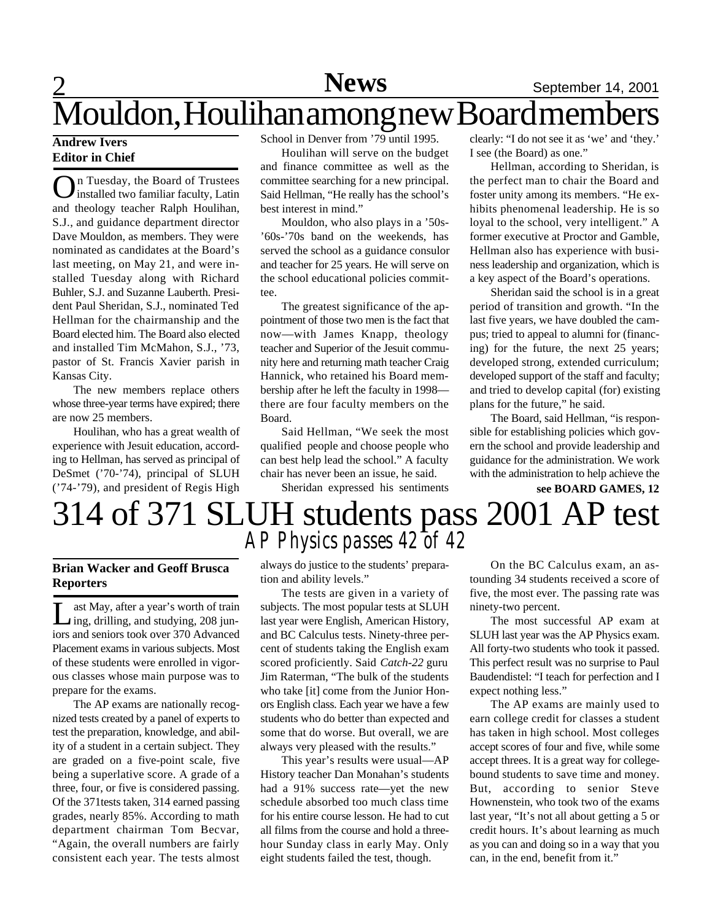## **News**

### **Andrew Ivers Editor in Chief**

O n Tuesday, the Board of Trustees installed two familiar faculty, Latin and theology teacher Ralph Houlihan, S.J., and guidance department director Dave Mouldon, as members. They were nominated as candidates at the Board's last meeting, on May 21, and were installed Tuesday along with Richard Buhler, S.J. and Suzanne Lauberth. President Paul Sheridan, S.J., nominated Ted Hellman for the chairmanship and the Board elected him. The Board also elected and installed Tim McMahon, S.J., '73, pastor of St. Francis Xavier parish in Kansas City.

The new members replace others whose three-year terms have expired; there are now 25 members.

Houlihan, who has a great wealth of experience with Jesuit education, according to Hellman, has served as principal of DeSmet ('70-'74), principal of SLUH ('74-'79), and president of Regis High School in Denver from '79 until 1995.

Houlihan will serve on the budget and finance committee as well as the committee searching for a new principal. Said Hellman, "He really has the school's best interest in mind."

Mouldon, who also plays in a '50s- '60s-'70s band on the weekends, has served the school as a guidance consulor and teacher for 25 years. He will serve on the school educational policies committee.

The greatest significance of the appointment of those two men is the fact that now—with James Knapp, theology teacher and Superior of the Jesuit community here and returning math teacher Craig Hannick, who retained his Board membership after he left the faculty in 1998 there are four faculty members on the Board.

Said Hellman, "We seek the most qualified people and choose people who can best help lead the school." A faculty chair has never been an issue, he said.

Sheridan expressed his sentiments

clearly: "I do not see it as 'we' and 'they.' I see (the Board) as one."

Hellman, according to Sheridan, is the perfect man to chair the Board and foster unity among its members. "He exhibits phenomenal leadership. He is so loyal to the school, very intelligent." A former executive at Proctor and Gamble, Hellman also has experience with business leadership and organization, which is a key aspect of the Board's operations.

Sheridan said the school is in a great period of transition and growth. "In the last five years, we have doubled the campus; tried to appeal to alumni for (financing) for the future, the next 25 years; developed strong, extended curriculum; developed support of the staff and faculty; and tried to develop capital (for) existing plans for the future," he said.

The Board, said Hellman, "is responsible for establishing policies which govern the school and provide leadership and guidance for the administration. We work with the administration to help achieve the

# **see BOARD GAMES, 12**

# 314 of 371 SLUH students pass 2001 AP test *AP Physics passes 42 of 42*

### **Brian Wacker and Geoff Brusca Reporters**

Let May, after a year's worth of train<br>ing, drilling, and studying, 208 junast May, after a year's worth of train iors and seniors took over 370 Advanced Placement exams in various subjects. Most of these students were enrolled in vigorous classes whose main purpose was to prepare for the exams.

The AP exams are nationally recognized tests created by a panel of experts to test the preparation, knowledge, and ability of a student in a certain subject. They are graded on a five-point scale, five being a superlative score. A grade of a three, four, or five is considered passing. Of the 371tests taken, 314 earned passing grades, nearly 85%. According to math department chairman Tom Becvar, "Again, the overall numbers are fairly consistent each year. The tests almost

always do justice to the students' preparation and ability levels."

The tests are given in a variety of subjects. The most popular tests at SLUH last year were English, American History, and BC Calculus tests. Ninety-three percent of students taking the English exam scored proficiently. Said *Catch-22* guru Jim Raterman, "The bulk of the students who take [it] come from the Junior Honors English class. Each year we have a few students who do better than expected and some that do worse. But overall, we are always very pleased with the results."

This year's results were usual—AP History teacher Dan Monahan's students had a 91% success rate—yet the new schedule absorbed too much class time for his entire course lesson. He had to cut all films from the course and hold a threehour Sunday class in early May. Only eight students failed the test, though.

On the BC Calculus exam, an astounding 34 students received a score of five, the most ever. The passing rate was ninety-two percent.

The most successful AP exam at SLUH last year was the AP Physics exam. All forty-two students who took it passed. This perfect result was no surprise to Paul Baudendistel: "I teach for perfection and I expect nothing less."

The AP exams are mainly used to earn college credit for classes a student has taken in high school. Most colleges accept scores of four and five, while some accept threes. It is a great way for collegebound students to save time and money. But, according to senior Steve Hownenstein, who took two of the exams last year, "It's not all about getting a 5 or credit hours. It's about learning as much as you can and doing so in a way that you can, in the end, benefit from it."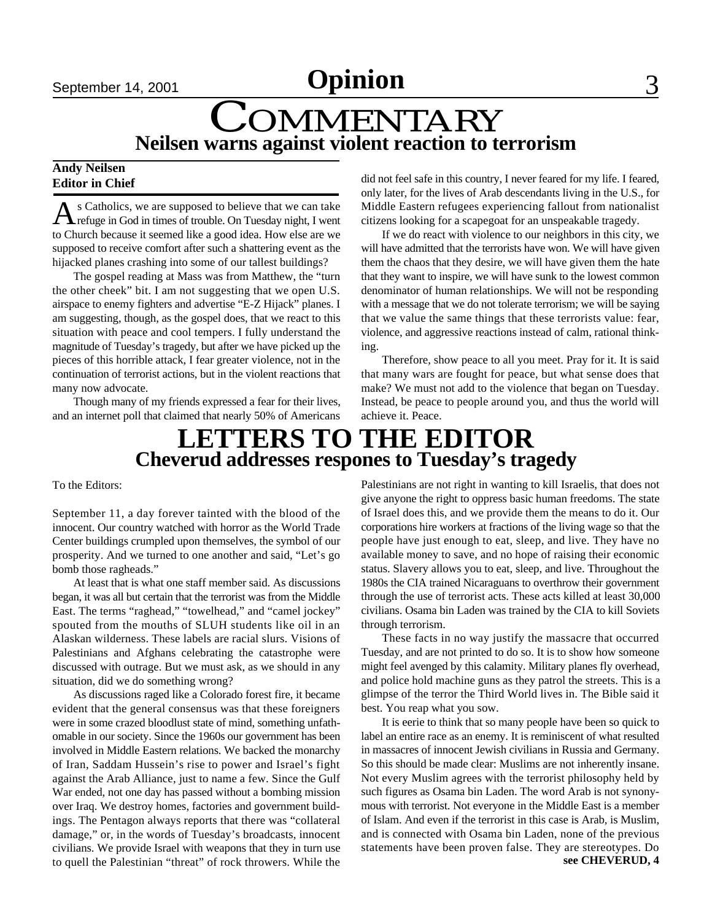September 14, 2001 **Commer Commerce 3** 

# **COMMENTARY Neilsen warns against violent reaction to terrorism**

### **Andy Neilsen Editor in Chief**

A s Catholics, we are supposed to believe that we can take<br>
refuge in God in times of trouble. On Tuesday night, I went s Catholics, we are supposed to believe that we can take to Church because it seemed like a good idea. How else are we supposed to receive comfort after such a shattering event as the hijacked planes crashing into some of our tallest buildings?

The gospel reading at Mass was from Matthew, the "turn the other cheek" bit. I am not suggesting that we open U.S. airspace to enemy fighters and advertise "E-Z Hijack" planes. I am suggesting, though, as the gospel does, that we react to this situation with peace and cool tempers. I fully understand the magnitude of Tuesday's tragedy, but after we have picked up the pieces of this horrible attack, I fear greater violence, not in the continuation of terrorist actions, but in the violent reactions that many now advocate.

Though many of my friends expressed a fear for their lives, and an internet poll that claimed that nearly 50% of Americans

did not feel safe in this country, I never feared for my life. I feared, only later, for the lives of Arab descendants living in the U.S., for Middle Eastern refugees experiencing fallout from nationalist citizens looking for a scapegoat for an unspeakable tragedy.

If we do react with violence to our neighbors in this city, we will have admitted that the terrorists have won. We will have given them the chaos that they desire, we will have given them the hate that they want to inspire, we will have sunk to the lowest common denominator of human relationships. We will not be responding with a message that we do not tolerate terrorism; we will be saying that we value the same things that these terrorists value: fear, violence, and aggressive reactions instead of calm, rational thinking.

Therefore, show peace to all you meet. Pray for it. It is said that many wars are fought for peace, but what sense does that make? We must not add to the violence that began on Tuesday. Instead, be peace to people around you, and thus the world will achieve it. Peace.

## **LETTERS TO THE EDITOR Cheverud addresses respones to Tuesday's tragedy**

To the Editors:

September 11, a day forever tainted with the blood of the innocent. Our country watched with horror as the World Trade Center buildings crumpled upon themselves, the symbol of our prosperity. And we turned to one another and said, "Let's go bomb those ragheads."

At least that is what one staff member said. As discussions began, it was all but certain that the terrorist was from the Middle East. The terms "raghead," "towelhead," and "camel jockey" spouted from the mouths of SLUH students like oil in an Alaskan wilderness. These labels are racial slurs. Visions of Palestinians and Afghans celebrating the catastrophe were discussed with outrage. But we must ask, as we should in any situation, did we do something wrong?

As discussions raged like a Colorado forest fire, it became evident that the general consensus was that these foreigners were in some crazed bloodlust state of mind, something unfathomable in our society. Since the 1960s our government has been involved in Middle Eastern relations. We backed the monarchy of Iran, Saddam Hussein's rise to power and Israel's fight against the Arab Alliance, just to name a few. Since the Gulf War ended, not one day has passed without a bombing mission over Iraq. We destroy homes, factories and government buildings. The Pentagon always reports that there was "collateral damage," or, in the words of Tuesday's broadcasts, innocent civilians. We provide Israel with weapons that they in turn use to quell the Palestinian "threat" of rock throwers. While the

Palestinians are not right in wanting to kill Israelis, that does not give anyone the right to oppress basic human freedoms. The state of Israel does this, and we provide them the means to do it. Our corporations hire workers at fractions of the living wage so that the people have just enough to eat, sleep, and live. They have no available money to save, and no hope of raising their economic status. Slavery allows you to eat, sleep, and live. Throughout the 1980s the CIA trained Nicaraguans to overthrow their government through the use of terrorist acts. These acts killed at least 30,000 civilians. Osama bin Laden was trained by the CIA to kill Soviets through terrorism.

These facts in no way justify the massacre that occurred Tuesday, and are not printed to do so. It is to show how someone might feel avenged by this calamity. Military planes fly overhead, and police hold machine guns as they patrol the streets. This is a glimpse of the terror the Third World lives in. The Bible said it best. You reap what you sow.

It is eerie to think that so many people have been so quick to label an entire race as an enemy. It is reminiscent of what resulted in massacres of innocent Jewish civilians in Russia and Germany. So this should be made clear: Muslims are not inherently insane. Not every Muslim agrees with the terrorist philosophy held by such figures as Osama bin Laden. The word Arab is not synonymous with terrorist. Not everyone in the Middle East is a member of Islam. And even if the terrorist in this case is Arab, is Muslim, and is connected with Osama bin Laden, none of the previous statements have been proven false. They are stereotypes. Do **see CHEVERUD, 4**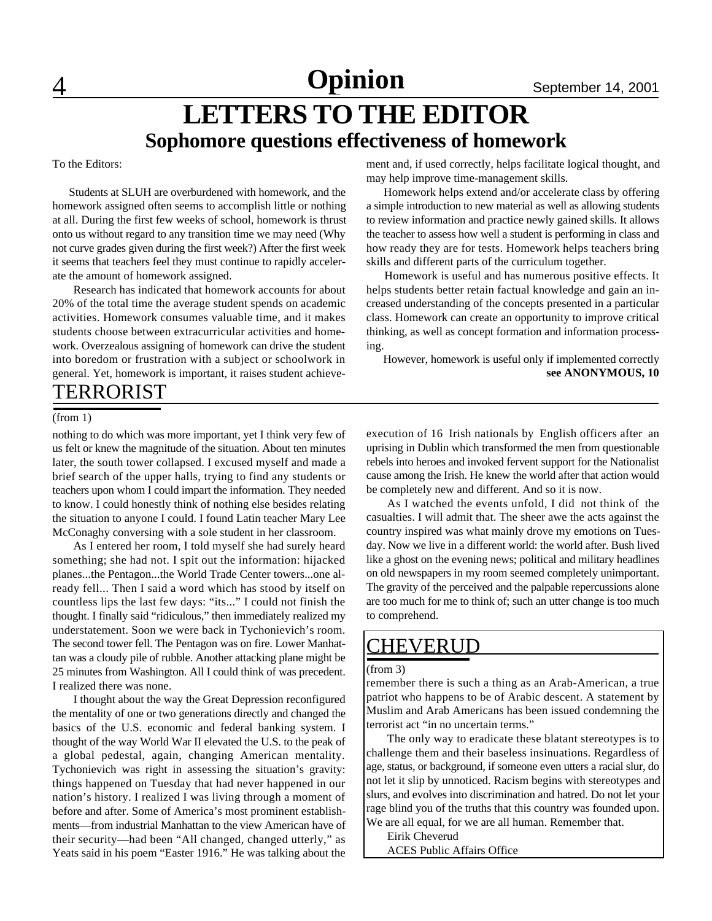4 **Sports** September 14, 2001 **Opinion**

# **LETTERS TO THE EDITOR Sophomore questions effectiveness of homework**

To the Editors:

 Students at SLUH are overburdened with homework, and the homework assigned often seems to accomplish little or nothing at all. During the first few weeks of school, homework is thrust onto us without regard to any transition time we may need (Why not curve grades given during the first week?) After the first week it seems that teachers feel they must continue to rapidly accelerate the amount of homework assigned.

Research has indicated that homework accounts for about 20% of the total time the average student spends on academic activities. Homework consumes valuable time, and it makes students choose between extracurricular activities and homework. Overzealous assigning of homework can drive the student into boredom or frustration with a subject or schoolwork in general. Yet, homework is important, it raises student achievement and, if used correctly, helps facilitate logical thought, and may help improve time-management skills.

 Homework helps extend and/or accelerate class by offering a simple introduction to new material as well as allowing students to review information and practice newly gained skills. It allows the teacher to assess how well a student is performing in class and how ready they are for tests. Homework helps teachers bring skills and different parts of the curriculum together.

 Homework is useful and has numerous positive effects. It helps students better retain factual knowledge and gain an increased understanding of the concepts presented in a particular class. Homework can create an opportunity to improve critical thinking, as well as concept formation and information processing.

 However, homework is useful only if implemented correctly **see ANONYMOUS, 10**

### TERRORIST

#### (from 1)

nothing to do which was more important, yet I think very few of us felt or knew the magnitude of the situation. About ten minutes later, the south tower collapsed. I excused myself and made a brief search of the upper halls, trying to find any students or teachers upon whom I could impart the information. They needed to know. I could honestly think of nothing else besides relating the situation to anyone I could. I found Latin teacher Mary Lee McConaghy conversing with a sole student in her classroom.

As I entered her room, I told myself she had surely heard something; she had not. I spit out the information: hijacked planes...the Pentagon...the World Trade Center towers...one already fell... Then I said a word which has stood by itself on countless lips the last few days: "its..." I could not finish the thought. I finally said "ridiculous," then immediately realized my understatement. Soon we were back in Tychonievich's room. The second tower fell. The Pentagon was on fire. Lower Manhattan was a cloudy pile of rubble. Another attacking plane might be 25 minutes from Washington. All I could think of was precedent. I realized there was none.

I thought about the way the Great Depression reconfigured the mentality of one or two generations directly and changed the basics of the U.S. economic and federal banking system. I thought of the way World War II elevated the U.S. to the peak of a global pedestal, again, changing American mentality. Tychonievich was right in assessing the situation's gravity: things happened on Tuesday that had never happened in our nation's history. I realized I was living through a moment of before and after. Some of America's most prominent establishments—from industrial Manhattan to the view American have of their security—had been "All changed, changed utterly," as Yeats said in his poem "Easter 1916." He was talking about the execution of 16 Irish nationals by English officers after an uprising in Dublin which transformed the men from questionable rebels into heroes and invoked fervent support for the Nationalist cause among the Irish. He knew the world after that action would be completely new and different. And so it is now.

As I watched the events unfold, I did not think of the casualties. I will admit that. The sheer awe the acts against the country inspired was what mainly drove my emotions on Tuesday. Now we live in a different world: the world after. Bush lived like a ghost on the evening news; political and military headlines on old newspapers in my room seemed completely unimportant. The gravity of the perceived and the palpable repercussions alone are too much for me to think of; such an utter change is too much to comprehend.

### CHEVERUD

#### (from 3)

remember there is such a thing as an Arab-American, a true patriot who happens to be of Arabic descent. A statement by Muslim and Arab Americans has been issued condemning the terrorist act "in no uncertain terms."

The only way to eradicate these blatant stereotypes is to challenge them and their baseless insinuations. Regardless of age, status, or background, if someone even utters a racial slur, do not let it slip by unnoticed. Racism begins with stereotypes and slurs, and evolves into discrimination and hatred. Do not let your rage blind you of the truths that this country was founded upon. We are all equal, for we are all human. Remember that.

Eirik Cheverud ACES Public Affairs Office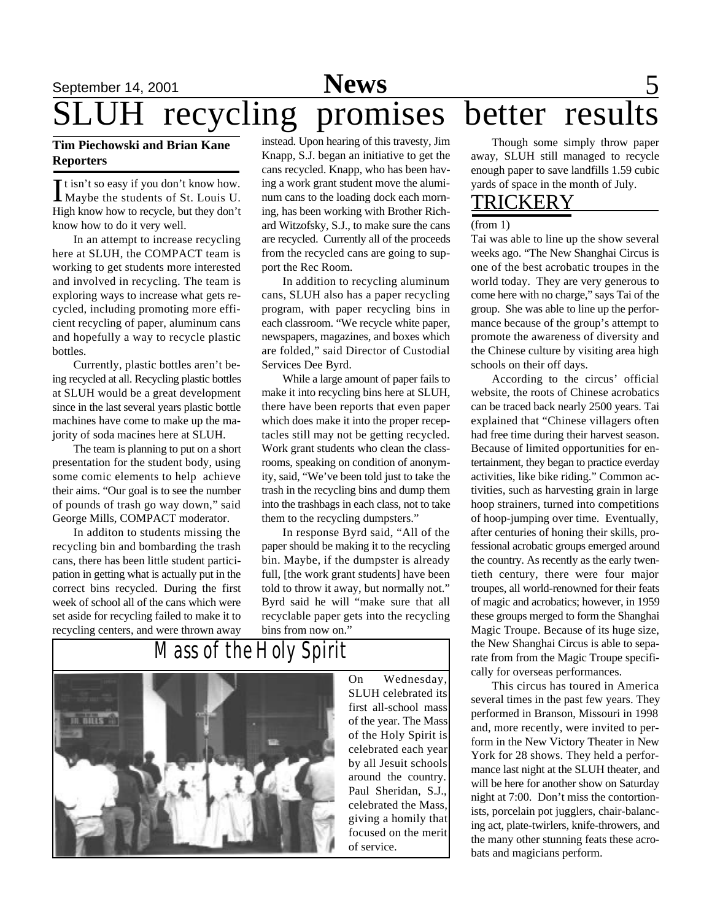# September 14, 2001 **News** 5 recycling promises better results **News**

### **Tim Piechowski and Brian Kane Reporters**

It isn't so easy if you don't know how.<br>Maybe the students of St. Louis U. t isn't so easy if you don't know how. High know how to recycle, but they don't know how to do it very well.

In an attempt to increase recycling here at SLUH, the COMPACT team is working to get students more interested and involved in recycling. The team is exploring ways to increase what gets recycled, including promoting more efficient recycling of paper, aluminum cans and hopefully a way to recycle plastic bottles.

Currently, plastic bottles aren't being recycled at all. Recycling plastic bottles at SLUH would be a great development since in the last several years plastic bottle machines have come to make up the majority of soda macines here at SLUH.

The team is planning to put on a short presentation for the student body, using some comic elements to help achieve their aims. "Our goal is to see the number of pounds of trash go way down," said George Mills, COMPACT moderator.

In additon to students missing the recycling bin and bombarding the trash cans, there has been little student participation in getting what is actually put in the correct bins recycled. During the first week of school all of the cans which were set aside for recycling failed to make it to recycling centers, and were thrown away

instead. Upon hearing of this travesty, Jim Knapp, S.J. began an initiative to get the cans recycled. Knapp, who has been having a work grant student move the aluminum cans to the loading dock each morning, has been working with Brother Richard Witzofsky, S.J., to make sure the cans are recycled. Currently all of the proceeds from the recycled cans are going to support the Rec Room.

In addition to recycling aluminum cans, SLUH also has a paper recycling program, with paper recycling bins in each classroom. "We recycle white paper, newspapers, magazines, and boxes which are folded," said Director of Custodial Services Dee Byrd.

While a large amount of paper fails to make it into recycling bins here at SLUH, there have been reports that even paper which does make it into the proper receptacles still may not be getting recycled. Work grant students who clean the classrooms, speaking on condition of anonymity, said, "We've been told just to take the trash in the recycling bins and dump them into the trashbags in each class, not to take them to the recycling dumpsters."

In response Byrd said, "All of the paper should be making it to the recycling bin. Maybe, if the dumpster is already full, [the work grant students] have been told to throw it away, but normally not." Byrd said he will "make sure that all recyclable paper gets into the recycling bins from now on."



On Wednesday, SLUH celebrated its first all-school mass of the year. The Mass of the Holy Spirit is celebrated each year by all Jesuit schools around the country. Paul Sheridan, S.J., celebrated the Mass, giving a homily that focused on the merit of service.

Though some simply throw paper away, SLUH still managed to recycle enough paper to save landfills 1.59 cubic yards of space in the month of July.

### TRICKERY

### (from 1)

Tai was able to line up the show several weeks ago. "The New Shanghai Circus is one of the best acrobatic troupes in the world today. They are very generous to come here with no charge," says Tai of the group. She was able to line up the performance because of the group's attempt to promote the awareness of diversity and the Chinese culture by visiting area high schools on their off days.

According to the circus' official website, the roots of Chinese acrobatics can be traced back nearly 2500 years. Tai explained that "Chinese villagers often had free time during their harvest season. Because of limited opportunities for entertainment, they began to practice everday activities, like bike riding." Common activities, such as harvesting grain in large hoop strainers, turned into competitions of hoop-jumping over time. Eventually, after centuries of honing their skills, professional acrobatic groups emerged around the country. As recently as the early twentieth century, there were four major troupes, all world-renowned for their feats of magic and acrobatics; however, in 1959 these groups merged to form the Shanghai Magic Troupe. Because of its huge size, the New Shanghai Circus is able to separate from from the Magic Troupe specifically for overseas performances.

This circus has toured in America several times in the past few years. They performed in Branson, Missouri in 1998 and, more recently, were invited to perform in the New Victory Theater in New York for 28 shows. They held a performance last night at the SLUH theater, and will be here for another show on Saturday night at 7:00. Don't miss the contortionists, porcelain pot jugglers, chair-balancing act, plate-twirlers, knife-throwers, and the many other stunning feats these acrobats and magicians perform.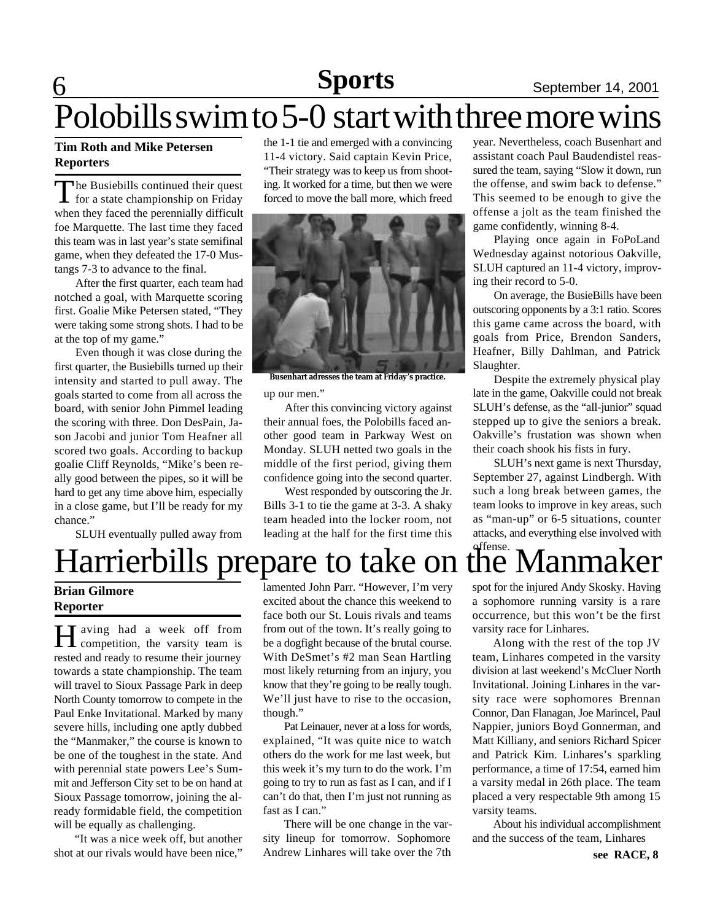# 6 **Sports** September 14, 2001

# Polobills swim to 5-0 start with three more wins

### **Tim Roth and Mike Petersen Reporters**

The Busiebills continued their quest<br>for a state championship on Friday he Busiebills continued their quest when they faced the perennially difficult foe Marquette. The last time they faced this team was in last year's state semifinal game, when they defeated the 17-0 Mustangs 7-3 to advance to the final.

After the first quarter, each team had notched a goal, with Marquette scoring first. Goalie Mike Petersen stated, "They were taking some strong shots. I had to be at the top of my game."

Even though it was close during the first quarter, the Busiebills turned up their intensity and started to pull away. The goals started to come from all across the board, with senior John Pimmel leading the scoring with three. Don DesPain, Jason Jacobi and junior Tom Heafner all scored two goals. According to backup goalie Cliff Reynolds, "Mike's been really good between the pipes, so it will be hard to get any time above him, especially in a close game, but I'll be ready for my chance."

SLUH eventually pulled away from

the 1-1 tie and emerged with a convincing 11-4 victory. Said captain Kevin Price, "Their strategy was to keep us from shooting. It worked for a time, but then we were forced to move the ball more, which freed



**Busenhart adresses the team at Friday's practice.**

up our men."

After this convincing victory against their annual foes, the Polobills faced another good team in Parkway West on Monday. SLUH netted two goals in the middle of the first period, giving them confidence going into the second quarter.

West responded by outscoring the Jr. Bills 3-1 to tie the game at 3-3. A shaky team headed into the locker room, not leading at the half for the first time this

year. Nevertheless, coach Busenhart and assistant coach Paul Baudendistel reassured the team, saying "Slow it down, run the offense, and swim back to defense." This seemed to be enough to give the offense a jolt as the team finished the game confidently, winning 8-4.

Playing once again in FoPoLand Wednesday against notorious Oakville, SLUH captured an 11-4 victory, improving their record to 5-0.

On average, the BusieBills have been outscoring opponents by a 3:1 ratio. Scores this game came across the board, with goals from Price, Brendon Sanders, Heafner, Billy Dahlman, and Patrick Slaughter.

Despite the extremely physical play late in the game, Oakville could not break SLUH's defense, as the "all-junior" squad stepped up to give the seniors a break. Oakville's frustation was shown when their coach shook his fists in fury.

SLUH's next game is next Thursday, September 27, against Lindbergh. With such a long break between games, the team looks to improve in key areas, such as "man-up" or 6-5 situations, counter attacks, and everything else involved with

# Harrierbills prepare to take on the Manmaker

**Brian Gilmore Reporter**

H competition, the varsity team is T aving had a week off from rested and ready to resume their journey towards a state championship. The team will travel to Sioux Passage Park in deep North County tomorrow to compete in the Paul Enke Invitational. Marked by many severe hills, including one aptly dubbed the "Manmaker," the course is known to be one of the toughest in the state. And with perennial state powers Lee's Summit and Jefferson City set to be on hand at Sioux Passage tomorrow, joining the already formidable field, the competition will be equally as challenging.

"It was a nice week off, but another shot at our rivals would have been nice,"

lamented John Parr. "However, I'm very excited about the chance this weekend to face both our St. Louis rivals and teams from out of the town. It's really going to be a dogfight because of the brutal course. With DeSmet's #2 man Sean Hartling most likely returning from an injury, you know that they're going to be really tough. We'll just have to rise to the occasion, though."

Pat Leinauer, never at a loss for words, explained, "It was quite nice to watch others do the work for me last week, but this week it's my turn to do the work. I'm going to try to run as fast as I can, and if I can't do that, then I'm just not running as fast as I can."

There will be one change in the varsity lineup for tomorrow. Sophomore Andrew Linhares will take over the 7th

spot for the injured Andy Skosky. Having a sophomore running varsity is a rare occurrence, but this won't be the first varsity race for Linhares.

Along with the rest of the top JV team, Linhares competed in the varsity division at last weekend's McCluer North Invitational. Joining Linhares in the varsity race were sophomores Brennan Connor, Dan Flanagan, Joe Marincel, Paul Nappier, juniors Boyd Gonnerman, and Matt Killiany, and seniors Richard Spicer and Patrick Kim. Linhares's sparkling performance, a time of 17:54, earned him a varsity medal in 26th place. The team placed a very respectable 9th among 15 varsity teams.

About his individual accomplishment and the success of the team, Linhares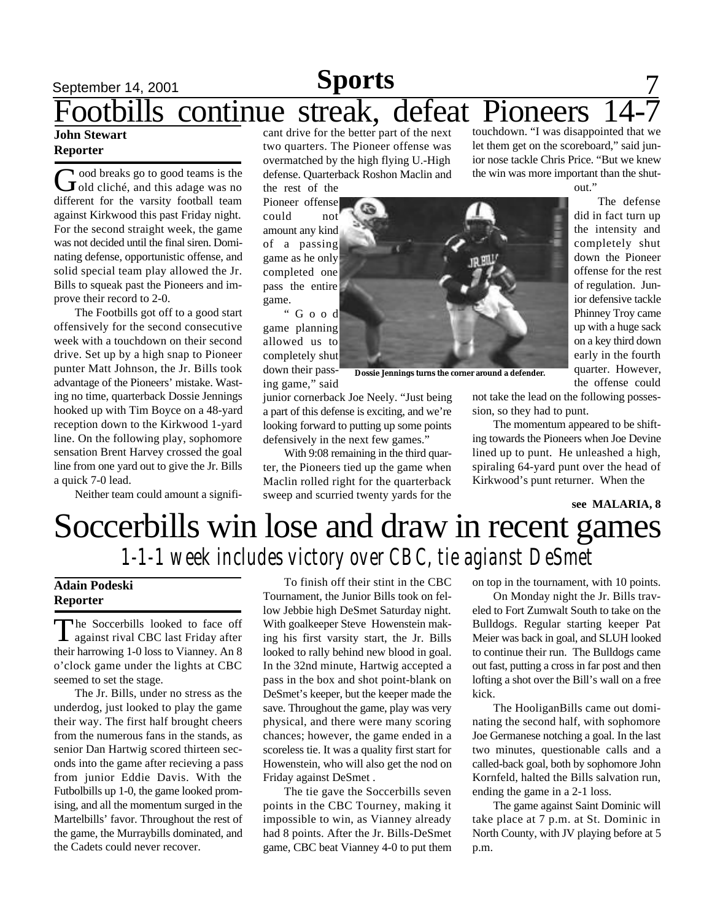# September 14, 2001 **Sports** 7 **John Stewart** Footbills continue streak, defeat Pioneers

### **Reporter**

Good breaks go to good teams is the<br>cold cliché, and this adage was no ood breaks go to good teams is the different for the varsity football team against Kirkwood this past Friday night. For the second straight week, the game was not decided until the final siren. Dominating defense, opportunistic offense, and solid special team play allowed the Jr. Bills to squeak past the Pioneers and improve their record to 2-0.

The Footbills got off to a good start offensively for the second consecutive week with a touchdown on their second drive. Set up by a high snap to Pioneer punter Matt Johnson, the Jr. Bills took advantage of the Pioneers' mistake. Wasting no time, quarterback Dossie Jennings hooked up with Tim Boyce on a 48-yard reception down to the Kirkwood 1-yard line. On the following play, sophomore sensation Brent Harvey crossed the goal line from one yard out to give the Jr. Bills a quick 7-0 lead.

Neither team could amount a signifi-

cant drive for the better part of the next two quarters. The Pioneer offense was overmatched by the high flying U.-High defense. Quarterback Roshon Maclin and the rest of the

Pioneer offense could not amount any kind of a passing game as he only completed one pass the entire game.

" G o o d game planning allowed us to completely shut down their passing game," said

junior cornerback Joe Neely. "Just being a part of this defense is exciting, and we're looking forward to putting up some points defensively in the next few games."

**Dossie Jennings turns the corner around a defender.**

With 9:08 remaining in the third quarter, the Pioneers tied up the game when Maclin rolled right for the quarterback sweep and scurried twenty yards for the

touchdown. "I was disappointed that we let them get on the scoreboard," said junior nose tackle Chris Price. "But we knew the win was more important than the shut-



The defense did in fact turn up the intensity and completely shut down the Pioneer offense for the rest of regulation. Junior defensive tackle Phinney Troy came up with a huge sack on a key third down early in the fourth quarter. However, the offense could

not take the lead on the following possession, so they had to punt.

The momentum appeared to be shifting towards the Pioneers when Joe Devine lined up to punt. He unleashed a high, spiraling 64-yard punt over the head of Kirkwood's punt returner. When the

#### **see MALARIA, 8**

# Soccerbills win lose and draw in recent games *1-1-1 week includes victory over CBC, tie agianst DeSmet*

### **Adain Podeski Reporter**

T he Soccerbills looked to face off against rival CBC last Friday after their harrowing 1-0 loss to Vianney. An 8 o'clock game under the lights at CBC seemed to set the stage.

The Jr. Bills, under no stress as the underdog, just looked to play the game their way. The first half brought cheers from the numerous fans in the stands, as senior Dan Hartwig scored thirteen seconds into the game after recieving a pass from junior Eddie Davis. With the Futbolbills up 1-0, the game looked promising, and all the momentum surged in the Martelbills' favor. Throughout the rest of the game, the Murraybills dominated, and the Cadets could never recover.

To finish off their stint in the CBC Tournament, the Junior Bills took on fellow Jebbie high DeSmet Saturday night. With goalkeeper Steve Howenstein making his first varsity start, the Jr. Bills looked to rally behind new blood in goal. In the 32nd minute, Hartwig accepted a pass in the box and shot point-blank on DeSmet's keeper, but the keeper made the save. Throughout the game, play was very physical, and there were many scoring chances; however, the game ended in a scoreless tie. It was a quality first start for Howenstein, who will also get the nod on Friday against DeSmet .

The tie gave the Soccerbills seven points in the CBC Tourney, making it impossible to win, as Vianney already had 8 points. After the Jr. Bills-DeSmet game, CBC beat Vianney 4-0 to put them

on top in the tournament, with 10 points.

On Monday night the Jr. Bills traveled to Fort Zumwalt South to take on the Bulldogs. Regular starting keeper Pat Meier was back in goal, and SLUH looked to continue their run. The Bulldogs came out fast, putting a cross in far post and then lofting a shot over the Bill's wall on a free kick.

The HooliganBills came out dominating the second half, with sophomore Joe Germanese notching a goal. In the last two minutes, questionable calls and a called-back goal, both by sophomore John Kornfeld, halted the Bills salvation run, ending the game in a 2-1 loss.

The game against Saint Dominic will take place at 7 p.m. at St. Dominic in North County, with JV playing before at 5 p.m.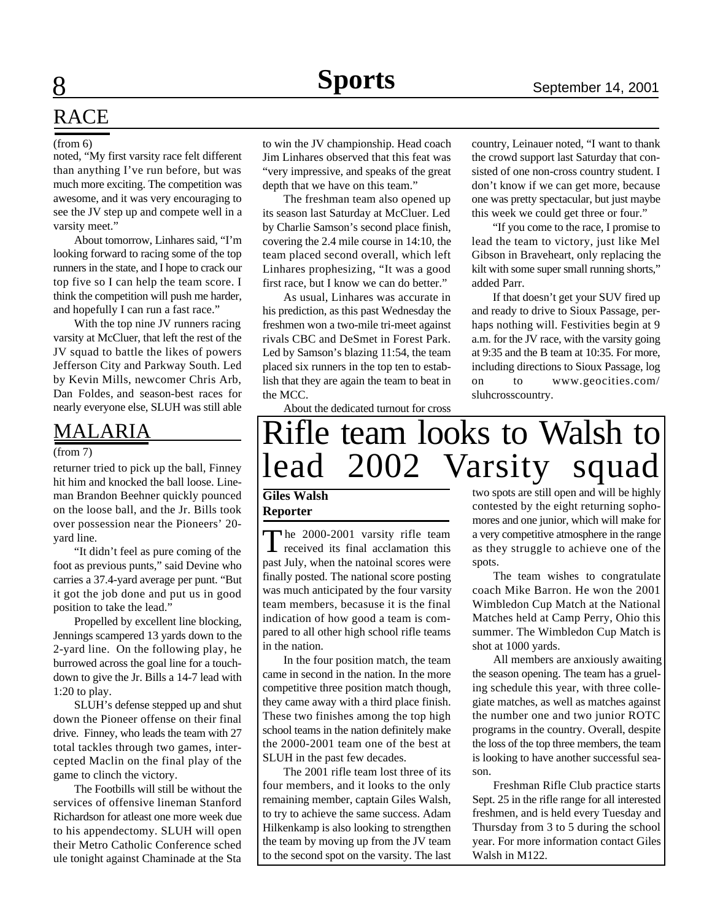# RACE

#### (from 6)

noted, "My first varsity race felt different than anything I've run before, but was much more exciting. The competition was awesome, and it was very encouraging to see the JV step up and compete well in a varsity meet."

About tomorrow, Linhares said, "I'm looking forward to racing some of the top runners in the state, and I hope to crack our top five so I can help the team score. I think the competition will push me harder, and hopefully I can run a fast race."

With the top nine JV runners racing varsity at McCluer, that left the rest of the JV squad to battle the likes of powers Jefferson City and Parkway South. Led by Kevin Mills, newcomer Chris Arb, Dan Foldes, and season-best races for nearly everyone else, SLUH was still able

### MALARIA

#### (from 7)

returner tried to pick up the ball, Finney hit him and knocked the ball loose. Lineman Brandon Beehner quickly pounced on the loose ball, and the Jr. Bills took over possession near the Pioneers' 20 yard line.

"It didn't feel as pure coming of the foot as previous punts," said Devine who carries a 37.4-yard average per punt. "But it got the job done and put us in good position to take the lead."

Propelled by excellent line blocking, Jennings scampered 13 yards down to the 2-yard line. On the following play, he burrowed across the goal line for a touchdown to give the Jr. Bills a 14-7 lead with 1:20 to play.

SLUH's defense stepped up and shut down the Pioneer offense on their final drive. Finney, who leads the team with 27 total tackles through two games, intercepted Maclin on the final play of the game to clinch the victory.

The Footbills will still be without the services of offensive lineman Stanford Richardson for atleast one more week due to his appendectomy. SLUH will open their Metro Catholic Conference sched ule tonight against Chaminade at the Sta

to win the JV championship. Head coach Jim Linhares observed that this feat was "very impressive, and speaks of the great depth that we have on this team."

The freshman team also opened up its season last Saturday at McCluer. Led by Charlie Samson's second place finish, covering the 2.4 mile course in 14:10, the team placed second overall, which left Linhares prophesizing, "It was a good first race, but I know we can do better."

As usual, Linhares was accurate in his prediction, as this past Wednesday the freshmen won a two-mile tri-meet against rivals CBC and DeSmet in Forest Park. Led by Samson's blazing 11:54, the team placed six runners in the top ten to establish that they are again the team to beat in the MCC.

About the dedicated turnout for cross

country, Leinauer noted, "I want to thank the crowd support last Saturday that consisted of one non-cross country student. I don't know if we can get more, because one was pretty spectacular, but just maybe this week we could get three or four."

"If you come to the race, I promise to lead the team to victory, just like Mel Gibson in Braveheart, only replacing the kilt with some super small running shorts," added Parr.

If that doesn't get your SUV fired up and ready to drive to Sioux Passage, perhaps nothing will. Festivities begin at 9 a.m. for the JV race, with the varsity going at 9:35 and the B team at 10:35. For more, including directions to Sioux Passage, log on to www.geocities.com/ sluhcrosscountry.

# Rifle team looks to Walsh to lead 2002 Varsity squad

### **Giles Walsh Reporter**

The 2000-2001 varsity rifle team<br>received its final acclamation this received its final acclamation this past July, when the natoinal scores were finally posted. The national score posting was much anticipated by the four varsity team members, becasuse it is the final indication of how good a team is compared to all other high school rifle teams in the nation.

In the four position match, the team came in second in the nation. In the more competitive three position match though, they came away with a third place finish. These two finishes among the top high school teams in the nation definitely make the 2000-2001 team one of the best at SLUH in the past few decades.

The 2001 rifle team lost three of its four members, and it looks to the only remaining member, captain Giles Walsh, to try to achieve the same success. Adam Hilkenkamp is also looking to strengthen the team by moving up from the JV team to the second spot on the varsity. The last

two spots are still open and will be highly contested by the eight returning sophomores and one junior, which will make for a very competitive atmosphere in the range as they struggle to achieve one of the spots.

The team wishes to congratulate coach Mike Barron. He won the 2001 Wimbledon Cup Match at the National Matches held at Camp Perry, Ohio this summer. The Wimbledon Cup Match is shot at 1000 yards.

All members are anxiously awaiting the season opening. The team has a grueling schedule this year, with three collegiate matches, as well as matches against the number one and two junior ROTC programs in the country. Overall, despite the loss of the top three members, the team is looking to have another successful season.

Freshman Rifle Club practice starts Sept. 25 in the rifle range for all interested freshmen, and is held every Tuesday and Thursday from 3 to 5 during the school year. For more information contact Giles Walsh in M122.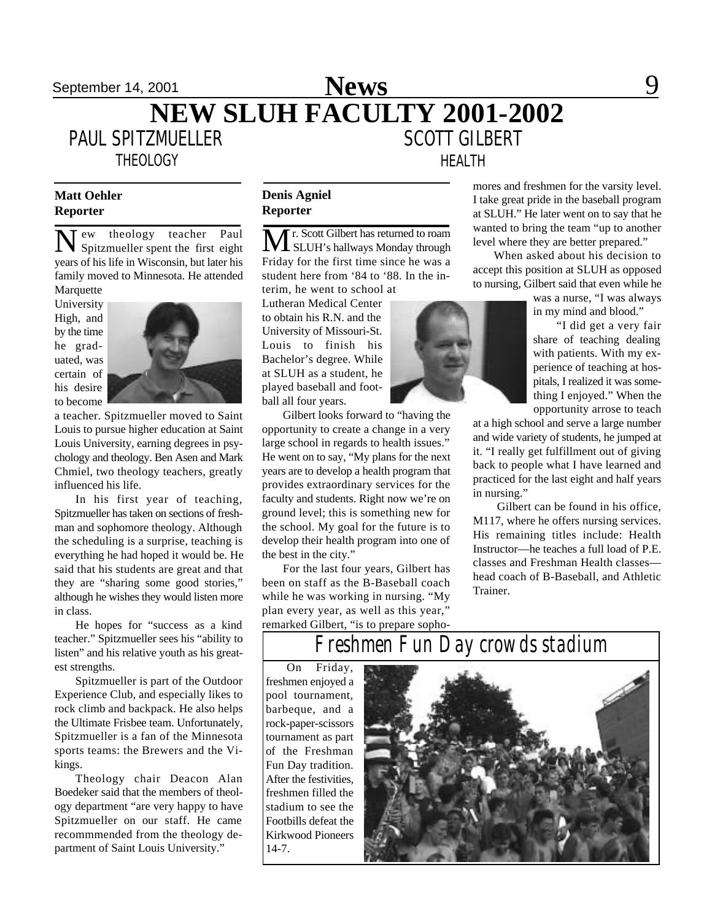### September 14, 2001 **News** 9 **NEW SLUH FACULTY 2001-2002** PAUL SPITZMUELLER SCOTT GILBERT **News**

**THEOLOGY** 

### **Matt Oehler Reporter**

N ew theology teacher Paul Spitzmueller spent the first eight years of his life in Wisconsin, but later his family moved to Minnesota. He attended

**Marquette** University High, and by the time he graduated, was certain of his desire to become



a teacher. Spitzmueller moved to Saint Louis to pursue higher education at Saint Louis University, earning degrees in psychology and theology. Ben Asen and Mark Chmiel, two theology teachers, greatly influenced his life.

In his first year of teaching, Spitzmueller has taken on sections of freshman and sophomore theology. Although the scheduling is a surprise, teaching is everything he had hoped it would be. He said that his students are great and that they are "sharing some good stories," although he wishes they would listen more in class.

He hopes for "success as a kind teacher." Spitzmueller sees his "ability to listen" and his relative youth as his greatest strengths.

Spitzmueller is part of the Outdoor Experience Club, and especially likes to rock climb and backpack. He also helps the Ultimate Frisbee team. Unfortunately, Spitzmueller is a fan of the Minnesota sports teams: the Brewers and the Vikings.

Theology chair Deacon Alan Boedeker said that the members of theology department "are very happy to have Spitzmueller on our staff. He came recommmended from the theology department of Saint Louis University."

### **Denis Agniel Reporter**

Mr. Scott Gilbert has returned to roam SLUH's hallways Monday through Friday for the first time since he was a student here from '84 to '88. In the in-

terim, he went to school at Lutheran Medical Center to obtain his R.N. and the University of Missouri-St. Louis to finish his Bachelor's degree. While at SLUH as a student, he played baseball and football all four years.

Gilbert looks forward to "having the opportunity to create a change in a very large school in regards to health issues." He went on to say, "My plans for the next years are to develop a health program that provides extraordinary services for the faculty and students. Right now we're on ground level; this is something new for the school. My goal for the future is to develop their health program into one of the best in the city."

For the last four years, Gilbert has been on staff as the B-Baseball coach while he was working in nursing. "My plan every year, as well as this year," remarked Gilbert, "is to prepare sopho-



HEALTH

mores and freshmen for the varsity level. I take great pride in the baseball program at SLUH." He later went on to say that he wanted to bring the team "up to another level where they are better prepared."

When asked about his decision to accept this position at SLUH as opposed to nursing, Gilbert said that even while he

> was a nurse, "I was always in my mind and blood."

"I did get a very fair share of teaching dealing with patients. With my experience of teaching at hospitals, I realized it was something I enjoyed." When the opportunity arrose to teach

at a high school and serve a large number and wide variety of students, he jumped at it. "I really get fulfillment out of giving back to people what I have learned and practiced for the last eight and half years in nursing."

 Gilbert can be found in his office, M117, where he offers nursing services. His remaining titles include: Health Instructor—he teaches a full load of P.E. classes and Freshman Health classes head coach of B-Baseball, and Athletic Trainer.

# *Freshmen Fun Day crowds stadium*

On Friday, freshmen enjoyed a pool tournament, barbeque, and a rock-paper-scissors tournament as part of the Freshman Fun Day tradition. After the festivities, freshmen filled the stadium to see the Footbills defeat the Kirkwood Pioneers 14-7.

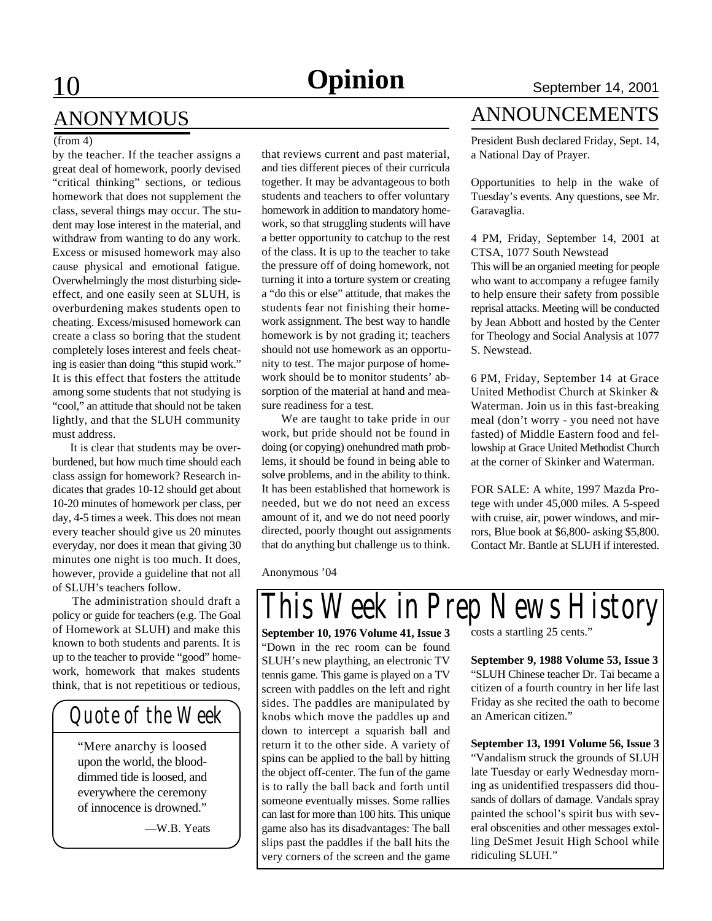#### (from 4)

by the teacher. If the teacher assigns a great deal of homework, poorly devised "critical thinking" sections, or tedious homework that does not supplement the class, several things may occur. The student may lose interest in the material, and withdraw from wanting to do any work. Excess or misused homework may also cause physical and emotional fatigue. Overwhelmingly the most disturbing sideeffect, and one easily seen at SLUH, is overburdening makes students open to cheating. Excess/misused homework can create a class so boring that the student completely loses interest and feels cheating is easier than doing "this stupid work." It is this effect that fosters the attitude among some students that not studying is "cool," an attitude that should not be taken lightly, and that the SLUH community must address.

 It is clear that students may be overburdened, but how much time should each class assign for homework? Research indicates that grades 10-12 should get about 10-20 minutes of homework per class, per day, 4-5 times a week. This does not mean every teacher should give us 20 minutes everyday, nor does it mean that giving 30 minutes one night is too much. It does, however, provide a guideline that not all of SLUH's teachers follow.

 The administration should draft a policy or guide for teachers (e.g. The Goal of Homework at SLUH) and make this known to both students and parents. It is up to the teacher to provide "good" homework, homework that makes students think, that is not repetitious or tedious,

# *Quote of the Week*

"Mere anarchy is loosed upon the world, the blooddimmed tide is loosed, and everywhere the ceremony of innocence is drowned."

—W.B. Yeats

that reviews current and past material, and ties different pieces of their curricula together. It may be advantageous to both students and teachers to offer voluntary homework in addition to mandatory homework, so that struggling students will have a better opportunity to catchup to the rest of the class. It is up to the teacher to take the pressure off of doing homework, not turning it into a torture system or creating a "do this or else" attitude, that makes the students fear not finishing their homework assignment. The best way to handle homework is by not grading it; teachers should not use homework as an opportunity to test. The major purpose of homework should be to monitor students' absorption of the material at hand and measure readiness for a test.

 We are taught to take pride in our work, but pride should not be found in doing (or copying) onehundred math problems, it should be found in being able to solve problems, and in the ability to think. It has been established that homework is needed, but we do not need an excess amount of it, and we do not need poorly directed, poorly thought out assignments that do anything but challenge us to think.

Anonymous '04

### ANNOUNCEMENTS

President Bush declared Friday, Sept. 14, a National Day of Prayer.

Opportunities to help in the wake of Tuesday's events. Any questions, see Mr. Garavaglia.

4 PM, Friday, September 14, 2001 at CTSA, 1077 South Newstead

This will be an organied meeting for people who want to accompany a refugee family to help ensure their safety from possible reprisal attacks. Meeting will be conducted by Jean Abbott and hosted by the Center for Theology and Social Analysis at 1077 S. Newstead.

6 PM, Friday, September 14 at Grace United Methodist Church at Skinker & Waterman. Join us in this fast-breaking meal (don't worry - you need not have fasted) of Middle Eastern food and fellowship at Grace United Methodist Church at the corner of Skinker and Waterman.

FOR SALE: A white, 1997 Mazda Protege with under 45,000 miles. A 5-speed with cruise, air, power windows, and mirrors, Blue book at \$6,800- asking \$5,800. Contact Mr. Bantle at SLUH if interested.

*This Week in Prep News History*

**September 10, 1976 Volume 41, Issue 3** "Down in the rec room can be found SLUH's new plaything, an electronic TV tennis game. This game is played on a TV screen with paddles on the left and right sides. The paddles are manipulated by knobs which move the paddles up and down to intercept a squarish ball and return it to the other side. A variety of spins can be applied to the ball by hitting the object off-center. The fun of the game is to rally the ball back and forth until someone eventually misses. Some rallies can last for more than 100 hits. This unique game also has its disadvantages: The ball slips past the paddles if the ball hits the very corners of the screen and the game

costs a startling 25 cents."

**September 9, 1988 Volume 53, Issue 3** "SLUH Chinese teacher Dr. Tai became a citizen of a fourth country in her life last Friday as she recited the oath to become an American citizen."

**September 13, 1991 Volume 56, Issue 3** "Vandalism struck the grounds of SLUH late Tuesday or early Wednesday morning as unidentified trespassers did thousands of dollars of damage. Vandals spray painted the school's spirit bus with several obscenities and other messages extolling DeSmet Jesuit High School while ridiculing SLUH."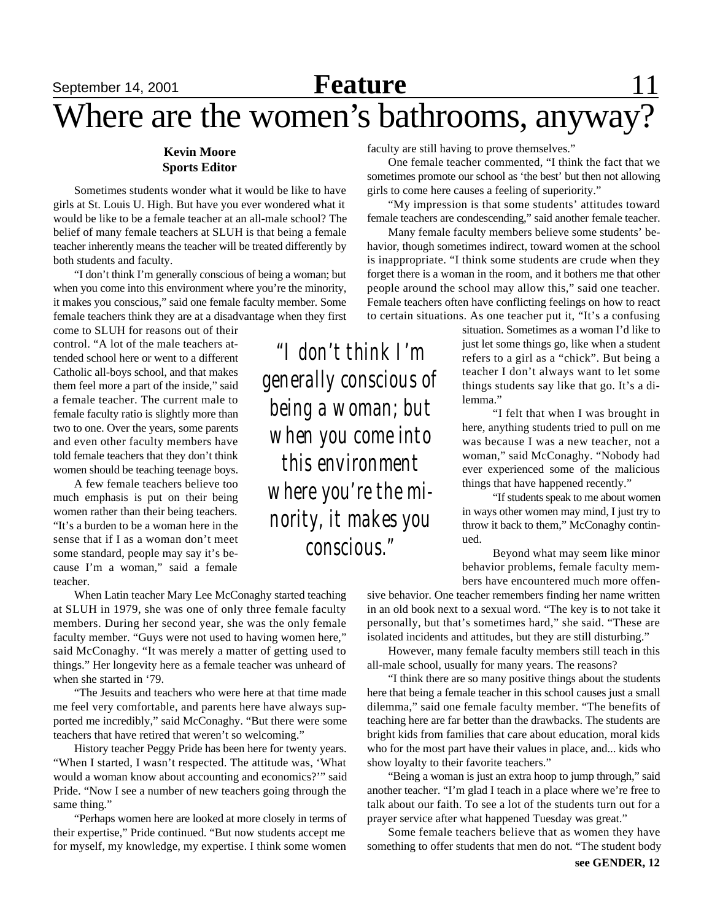# **September 14, 2001 Feature** 11 Where are the women's bathrooms, anyway?

### **Kevin Moore Sports Editor**

Sometimes students wonder what it would be like to have girls at St. Louis U. High. But have you ever wondered what it would be like to be a female teacher at an all-male school? The belief of many female teachers at SLUH is that being a female teacher inherently means the teacher will be treated differently by both students and faculty.

"I don't think I'm generally conscious of being a woman; but when you come into this environment where you're the minority, it makes you conscious," said one female faculty member. Some female teachers think they are at a disadvantage when they first

come to SLUH for reasons out of their control. "A lot of the male teachers attended school here or went to a different Catholic all-boys school, and that makes them feel more a part of the inside," said a female teacher. The current male to female faculty ratio is slightly more than two to one. Over the years, some parents and even other faculty members have told female teachers that they don't think women should be teaching teenage boys.

A few female teachers believe too much emphasis is put on their being women rather than their being teachers. "It's a burden to be a woman here in the sense that if I as a woman don't meet some standard, people may say it's because I'm a woman," said a female teacher.

When Latin teacher Mary Lee McConaghy started teaching at SLUH in 1979, she was one of only three female faculty members. During her second year, she was the only female faculty member. "Guys were not used to having women here," said McConaghy. "It was merely a matter of getting used to things." Her longevity here as a female teacher was unheard of when she started in '79.

"The Jesuits and teachers who were here at that time made me feel very comfortable, and parents here have always supported me incredibly," said McConaghy. "But there were some teachers that have retired that weren't so welcoming."

History teacher Peggy Pride has been here for twenty years. "When I started, I wasn't respected. The attitude was, 'What would a woman know about accounting and economics?'" said Pride. "Now I see a number of new teachers going through the same thing."

"Perhaps women here are looked at more closely in terms of their expertise," Pride continued. "But now students accept me for myself, my knowledge, my expertise. I think some women

faculty are still having to prove themselves."

One female teacher commented, "I think the fact that we sometimes promote our school as 'the best' but then not allowing girls to come here causes a feeling of superiority."

"My impression is that some students' attitudes toward female teachers are condescending," said another female teacher.

Many female faculty members believe some students' behavior, though sometimes indirect, toward women at the school is inappropriate. "I think some students are crude when they forget there is a woman in the room, and it bothers me that other people around the school may allow this," said one teacher. Female teachers often have conflicting feelings on how to react to certain situations. As one teacher put it, "It's a confusing

situation. Sometimes as a woman I'd like to just let some things go, like when a student refers to a girl as a "chick". But being a teacher I don't always want to let some things students say like that go. It's a dilemma."

"I felt that when I was brought in here, anything students tried to pull on me was because I was a new teacher, not a woman," said McConaghy. "Nobody had ever experienced some of the malicious things that have happened recently."

"If students speak to me about women in ways other women may mind, I just try to throw it back to them," McConaghy continued.

Beyond what may seem like minor behavior problems, female faculty members have encountered much more offen-

sive behavior. One teacher remembers finding her name written in an old book next to a sexual word. "The key is to not take it personally, but that's sometimes hard," she said. "These are isolated incidents and attitudes, but they are still disturbing."

However, many female faculty members still teach in this all-male school, usually for many years. The reasons?

"I think there are so many positive things about the students here that being a female teacher in this school causes just a small dilemma," said one female faculty member. "The benefits of teaching here are far better than the drawbacks. The students are bright kids from families that care about education, moral kids who for the most part have their values in place, and... kids who show loyalty to their favorite teachers."

"Being a woman is just an extra hoop to jump through," said another teacher. "I'm glad I teach in a place where we're free to talk about our faith. To see a lot of the students turn out for a prayer service after what happened Tuesday was great."

Some female teachers believe that as women they have something to offer students that men do not. "The student body

*"I don't think I'm generally conscious of being a woman; but when you come into this environment where you're the minority, it makes you conscious."*